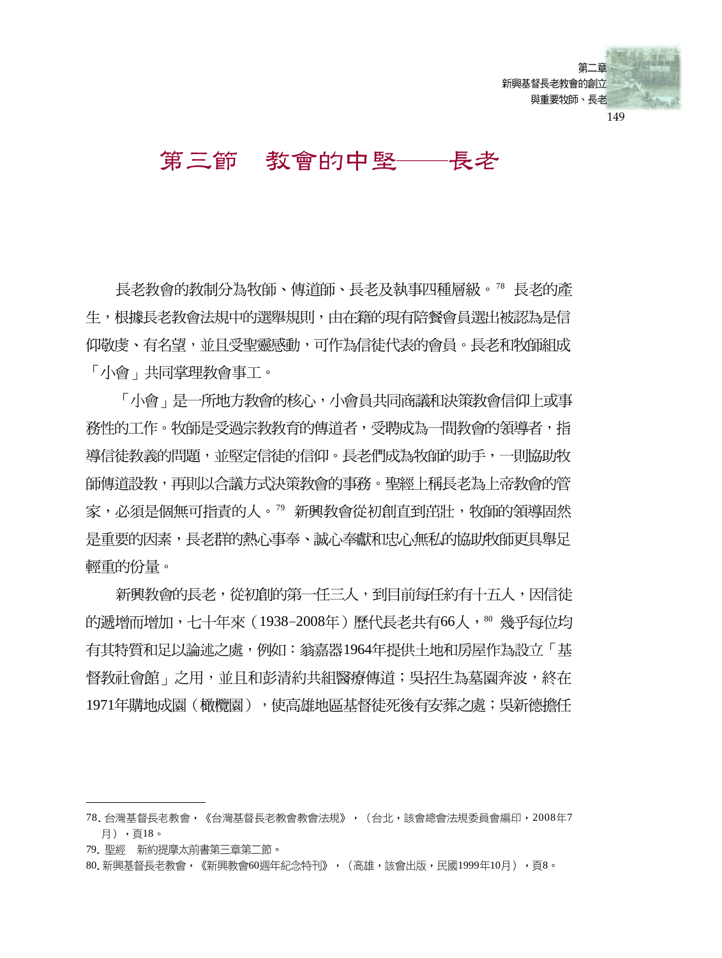

#### 第三節 教會的中堅— 長老

長老教會的教制分為牧師、傳道師、長老及執事四種層級。78 長老的產 生,根據長老教會法規中的選舉規則,由在籍的現有陪餐會員選出被認為是信 仰敬虔、有名望,並且受聖靈感動,可作為信徒代表的會員。長老和牧師組成 「小會」共同掌理教會事工。

「小會」是一所地方教會的核心,小會員共同商議和決策教會信仰上或事 務性的工作。牧師是受過宗教教育的傳道者,受聘成為一間教會的領導者,指 導信徒教義的問題,並堅定信徒的信仰。長老們成為牧師的助手,一則協助牧 師傳道設教,再則以合議方式決策教會的事務。聖經上稱長老為上帝教會的管 家,必須是個無可指責的人。"新興教會從初創直到茁壯,牧師的領導固然 是重要的因素,長老群的熱心事奉、誠心奉獻和忠心無私的協助牧師更具舉足 輕重的份量。

新興教會的長老,從初創的第一任三人,到目前每任約有十五人,因信徒 的遞增而增加,七十年來(1938-2008年)歷代長老共有66人,80 幾乎每位均 有其特質和足以論述之處,例如:翁嘉器1964年提供土地和房屋作為設立「基 督教社會館﹐之用,並日和彭清約共組醫療傳道;吳招生為慕園奔波,終在 1971年購地成園(橄欖園),使高雄地區基督徒死後有安葬之處;吳新德擔任

<sup>78.</sup> 台灣基督長老教會,《台灣基督長老教會教會法規》, (台北,該會總會法規委員會編印, 2008年7 月),頁18。

<sup>79.</sup> 聖經 新約提摩太前書第三章第二節。

<sup>80.</sup> 新興基督長老教會, 《新興教會60週年紀念特刊》, (高雄,該會出版,民國1999年10月), 頁8。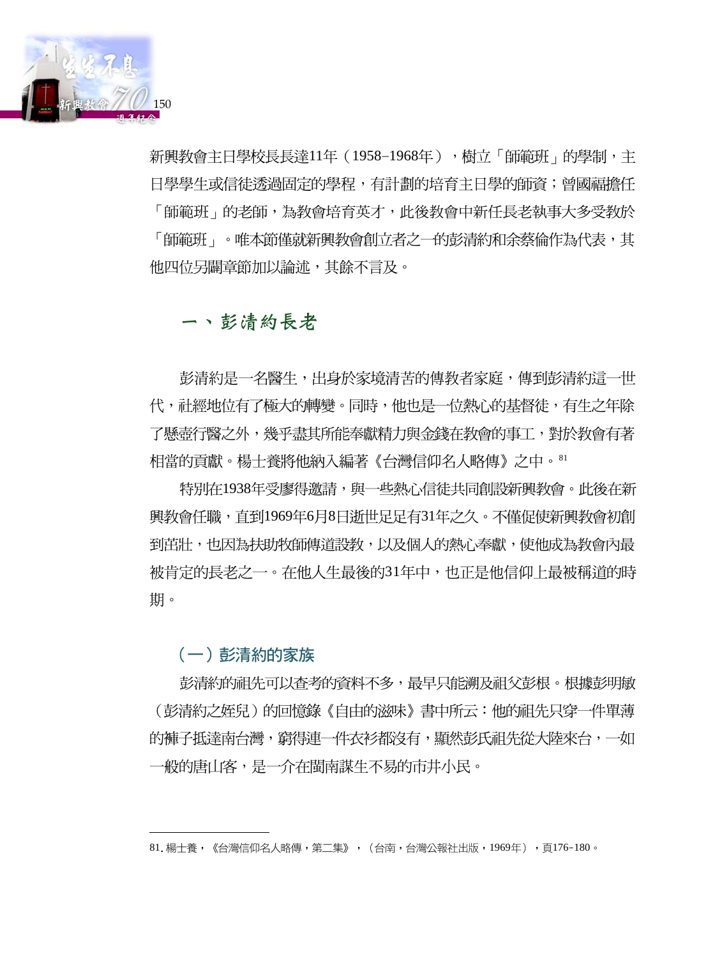

新興教會主日學校長長達11年(1958-1968年),樹立「師範班」的學制,主 日學學牛或信徒透過固定的學程,有計劃的培育主日學的師資;曾國福擔任 「師範班」的老師,為教會培育英才,此後教會中新任長老執事大多受教於 「師範班」。唯本節僅就新興教會創立者之一的彭清約和余蔡倫作為代表,其 他四位另闢章節加以論述,其餘不言及。

# 一、彭清約長老

彭清約是一名醫生,出身於家境清苦的傳教者家庭,傳到彭清約這一世 代,社經地位有了極大的轉變。同時,他也是一位熱心的基督徒,有生之年除 了懸壺行醫之外,幾乎盡其所能奉獻精力與金錢在教會的事工,對於教會有著 相當的貢獻。楊士養將他納入編著《台灣信仰名人略傳》之中。81

特別在1938年受廖得邀請,與一些熱心信徒共同創設新興教會。此後在新 興教會任職,直到1969年6月8日逝世足足有31年之久。不僅促使新興教會初創 到茁壯,也因為扶助牧師傳道設教,以及個人的熱心奉獻,使他成為教會內最 被肯定的長老之一。在他人生最後的31年中,也正是他信仰上最被稱道的時 期。

# (一) 彭清約的家族

彭清約的祖先可以查考的資料不多,最早只能溯及祖父彭根。根據彭明敏 (彭清約之姪兒)的回憶錄《自由的滋味》書中所云:他的祖先只穿一件單薄 的褲子抵達南台灣,窮得連一件衣衫都沒有,顯然彭氏祖先從大陸來台,一如 一般的唐山客,是一介在閩南謀生不易的市井小民。

<sup>81.</sup> 楊士養,《台灣信仰名人略傳,第二集》,(台南,台灣公報社出版,1969年),頁176-180。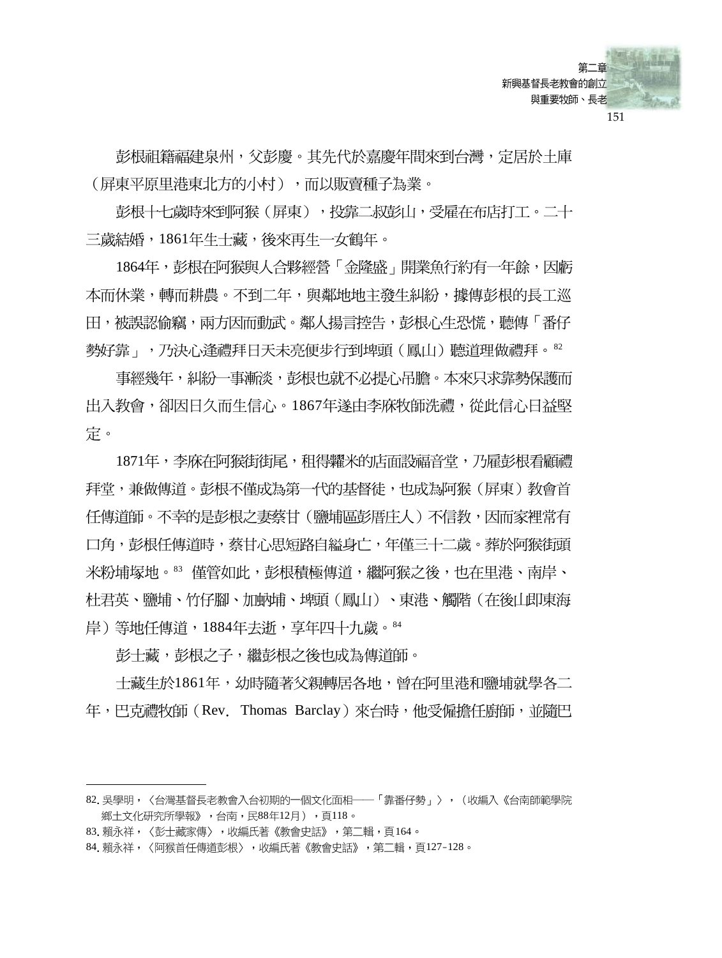

彭根祖籍福建泉州,父彭慶。其先代於嘉慶年間來到台灣,定居於土庫 (屏東平原里港東北方的小村),而以販賣種子為業。

彭根十七歲時來到阿猴(屏東),投靠二叔彭山,受雇在布店打工。二十 三歲結婚,1861年生士藏,後來再生一女鶴年。

1864年,彭根在阿猴與人合夥經營「金隆盛」開業魚行約有一年餘,因虧 本而休業,轉而耕農。不到二年,與鄰地地主發生糾紛,據傳彭根的長工巡 田,被誤認偷竊,兩方因而動武。鄰人揚言控告,彭根心生恐慌,聽傳「番仔 勢好靠」,乃決心逢禮拜日天未亮便步行到埤頭(鳳山)聽道理做禮拜。82

事經幾年,糾紛一事漸淡,彭根也就不必提心吊膽。本來只求靠勢保護而 出入教會,卻因日久而生信心。1867年遂由李庥牧師洗禮,從此信心日益堅 宗。

1871年,李庥在阿猴街街尾,租得糶米的店面設福音堂,乃雇彭根看顧禮 拜堂,兼做傳道。彭根不僅成為第一代的基督徒,也成為阿猴(屏東)教會首 任傳道師。不幸的是彭根之妻蔡甘(鹽埔區彭厝庄人)不信教,因而家裡常有 口角,彭根任傳道時,蔡甘心思短路自縊身亡,年僅三十二歲。葬於阿猴街頭 米粉埔塚地。83 僅管如此,彭根積極傳道,繼阿猴之後,也在里港、南岸、 杜君英、鹽埔、竹仔腳、加蚋埔、埤頭(鳳山)、東港、觸階(在後山即東海 岸) 等地任傳道,1884年去逝,享年四十九歲。84

彭士藏,彭根之子,繼彭根之後也成為傳道師。

士藏生於1861年,幼時隨著父親轉居各地,曾在阿里港和鹽埔就學各二 年,巴克禮牧師(Rev. Thomas Barclay)來台時,他受僱擔任廚師,並隨巴

<sup>82.</sup>吳學明,〈台灣基督長老教會入台初期的一個文化面相——「靠番仔勢」〉, (收編入《台南師範學院 鄉土文化研究所學報》,台南,民88年12月),頁118。

<sup>83.</sup> 賴永祥,〈彭士藏家傳〉,收編氏著《教會史話》,第二輯,頁164。

<sup>84.</sup>賴永祥,〈阿猴首任傳道彭根〉,收編氏著《教會史話》,第二輯,頁127-128。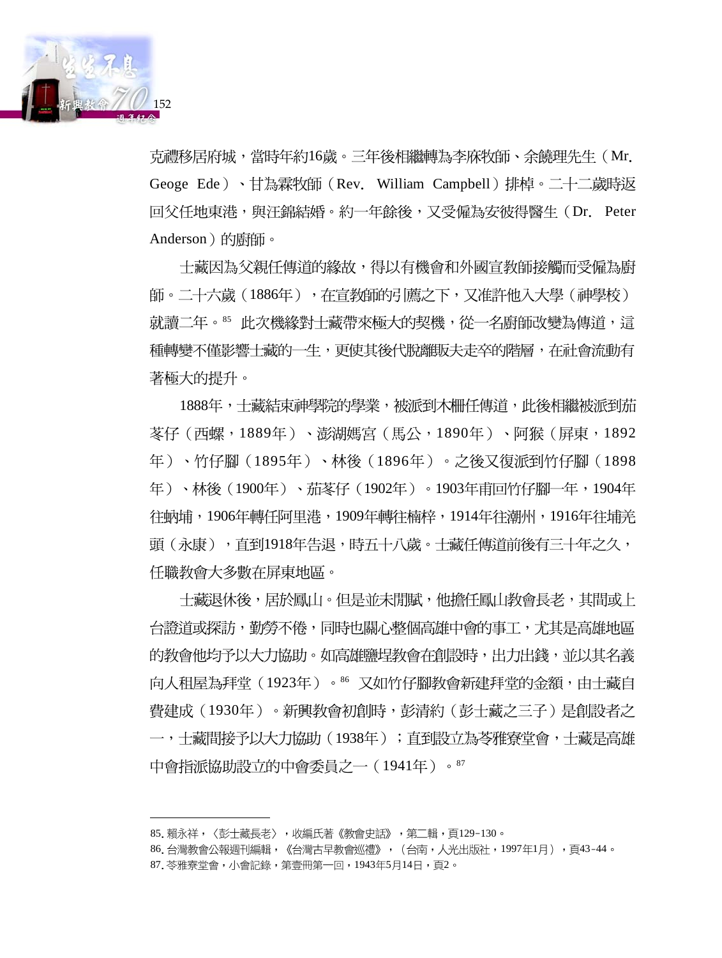

克禮移居府城,當時年約16歲。三年後相繼轉為李庥牧師、余饒理先生 (Mr. Geoge Ede )、甘為霖牧師(Rev. William Campbell)排棹。二十二歳時返 回父任地東港,與汪錦結婚。約一年餘後,又受僱為安彼得醫生(Dr. Peter Anderson)的蔚師。

十藏因為父親任傳道的緣故,得以有機會和外國宣教師接觸而受僱為廚 師。二十六歲(1886年),在宣教師的引薦之下,又准許他入大學(神學校) 就讀二年。<sup>85</sup> 此次機緣對士藏帶來極大的契機,從一名廚師改變為傳道,這 種轉變不僅影響士藏的一生,更使其後代脫離販夫走卒的階層,在社會流動有 著極大的提升。

1888年,士藏結束神學院的學業,被派到木柵任傳道,此後相繼被派到茄 苳仔(西螺,1889年)、澎湖媽宮(馬公,1890年)、阿猴(屏東,1892 年)、竹仔腳(1895年)、林後(1896年)。之後又復派到竹仔腳(1898 年)、林後(1900年)、茄苳仔(1902年)。1903年甫回竹仔腳一年,1904年 往蚋埔,1906年轉任阿里港,1909年轉往楠梓,1914年往潮州,1916年往埔羌 頭(永康),直到1918年告退,時五十八歲。士藏任傳道前後有三十年之久, 任職教會大多數在屏東地區。

士藏退休後,居於鳳山。但是並未閒賦,他擔任鳳山教會長老,其間或上 台證道或探訪,勤勞不倦,同時也關心整個高雄中會的事工,尤其是高雄地區 的教會他均予以大力協助。如高雄鹽埕教會在創設時,出力出錢,並以其名義 向人租屋為拜堂(1923年)。86 又如竹仔腳教會新建拜堂的金額,由士藏自 費建成(1930年)。新興教會初創時,彭清約(彭士藏之三子)是創設者之 一,十藏間接予以大力協助(1938年);直到設立為苓雅寮堂會,十藏是高雄 中會指派協助設立的中會委員之一 (1941年) 。87

<sup>85.</sup>賴永祥,〈彭士藏長老〉,收編氏著《教會史話》,第二輯,頁129-130。

<sup>86.</sup>台灣教會公報週刊編輯,《台灣古早教會巡禮》,(台南,人光出版社,1997年1月),頁43-44。 87. 苓雅寮堂會,小會記錄,第壹冊第一回,1943年5月14日,頁2。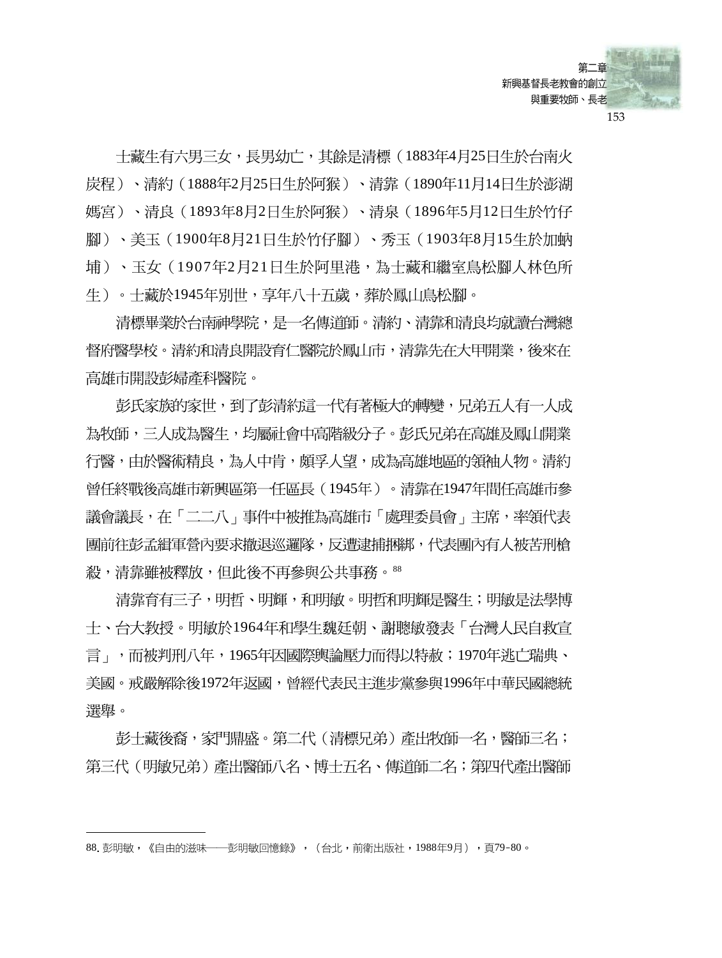

士藏生有六男三女,長男幼亡,其餘是清標(1883年4月25日生於台南火 炭程)、清約(1888年2月25日生於阿猴)、清靠(1890年11月14日生於澎湖 媽宮)、清良(1893年8月2日生於阿猴)、清泉(1896年5月12日生於竹仔 腳)、美玉 (1900年8月21日生於竹仔腳)、秀玉 (1903年8月15生於加蚋 埔)、玉女(1907年2月21日生於阿里港,為士藏和繼室鳥松腳人林色所 生 )。士藏於1945年別世,享年八十五歲,葬於鳳山鳥松腳。

清標畢業於台南神學院,是一名傳道師。清約、清靠和清良均就讀台灣總 督府醫學校。清約和清良開設育仁醫院於鳳山市,清靠先在大甲開業,後來在 高雄市開設彭婦產科醫院。

彭氏家族的家世,到了彭清約這一代有著極大的轉變,兄弟五人有一人成 為牧師,三人成為醫生,均屬社會中高階級分子。彭氏兄弟在高雄及鳳山開業 行醫,由於醫術精良,為人中肯,頗孚人望,成為高雄地區的領袖人物。清約 曾任終戰後高雄市新興區第一任區長(1945年)。清靠在1947年間任高雄市參 議會議長,在「二二八」事件中被推為高雄市「處理委員會」主席,率領代表 團前往彭孟緝軍營內要求撤退巡邏隊,反遭逮捕捆綁,代表團內有人被苦刑槍 殺,清靠雖被釋放,但此後不再參與公共事務。88

清靠育有三子,明哲、明輝,和明敏。明哲和明輝是醫生;明敏是法學博 士、台大教授。明敏於1964年和學生魏廷朝、謝聰敏發表「台灣人民自救宣 言」,而被判刑八年,1965年因國際輿論壓力而得以特赦;1970年逃亡瑞典、 美國。戒嚴解除後1972年返國,曾經代表民主進步黨參與1996年中華民國總統 選舉。

彭士藏後裔,家門鼎盛。第二代(清標兄弟)產出牧師一名,醫師三名; 第三代(明敏兄弟)產出醫師八名、博士五名、傳道師二名;第四代產出醫師

<sup>88.</sup> 彭明敏,《自由的滋味——彭明敏回憶錄》,(台北,前衛出版社,1988年9月),頁79-80。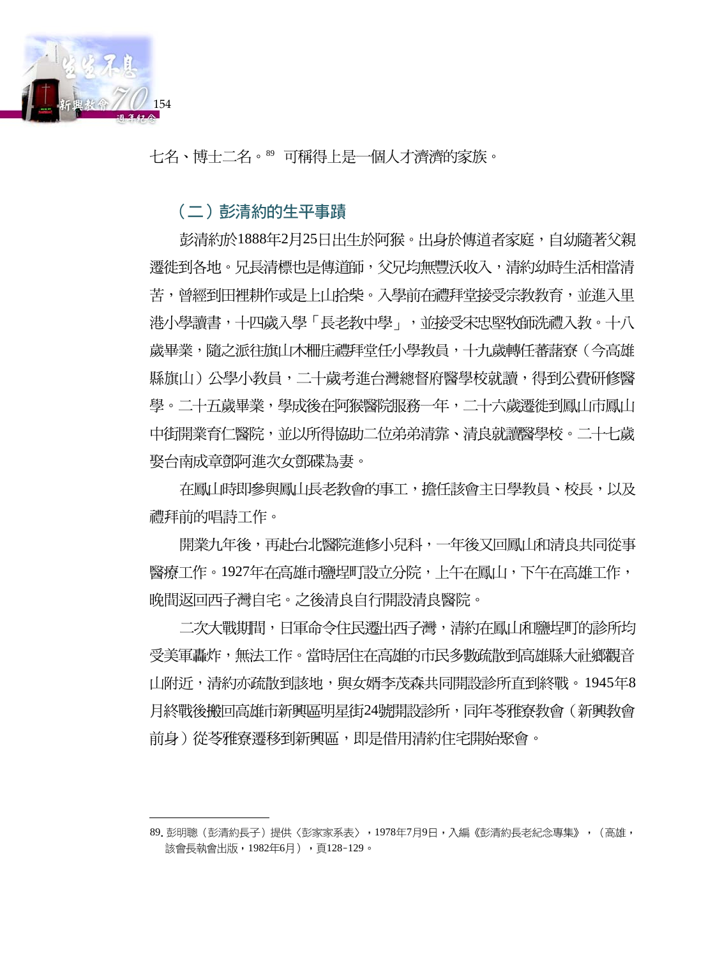

七名、博士二名。89 可稱得上是一個人才濟濟的家族。

(二) 彭清約的生平事蹟

彭清約於1888年2月25日出生於阿猴。出身於傳道者家庭,自幼隨著父親 遷徙到各地。兄長清標也是傳道師,父兄均無豐沃收入,清約幼時生活相當清 苦,曾經到田裡耕作或是上山拾柴。入學前在禮拜堂接受宗教教育,並進入里 港小學讀書,十四歲入學「長老教中學」,並接受宋忠堅牧師洗禮入教。十八 歳畢業,隋之派往旗山木柵庄禮拜堂仟小學教員,十九歳轉仟蕃藷寮(今高雄 縣旗山)公學小教員,二十歲考進台灣總督府醫學校就讀,得到公費研修醫 學。二十五歲畢業,學成後在阿猴醫院服務一年,二十六歲遷徙到鳳山市鳳山 中街開業育仁醫院,並以所得協助二位弟弟清靠、清良就讀醫學校。二十七歲 娶台南成章鄧阿進次女鄧碟為妻。

在鳳山時即參與鳳山長老教會的事工,擔任該會主日學教員、校長,以及 禮拜前的唱詩工作。

開業九年後,再赴台北醫院淮修小兒科,一年後又回鳳山和清良共同從事 醫療工作。1927年在高雄市鹽埕町設立分院,上午在鳳山,下午在高雄工作, 晚間返回西子灣自宅。之後清良自行開設清良醫院。

二次大戰期間,日軍命令住民遷出西子灣,清約在鳳山和鹽埕町的診所均 受美軍轟炸,無法工作。當時居住在高雄的市民多數疏散到高雄縣大社鄉觀音 山附近,清約亦疏散到該地,與女婿李茂森共同開設診所直到終戰。1945年8 月終戰後搬回高雄市新興區明星街24號開設診所,同年苓雅寮教會(新興教會 前身)從苓雅寮遷移到新興區,即是借用清約住宅開始聚會。

<sup>89.</sup> 彭明聰(彭清約長子)提供〈彭家家系表〉, 1978年7月9日, 入編《彭清約長老紀念專集》, (高雄, 該會長執會出版,1982年6月),頁128-129。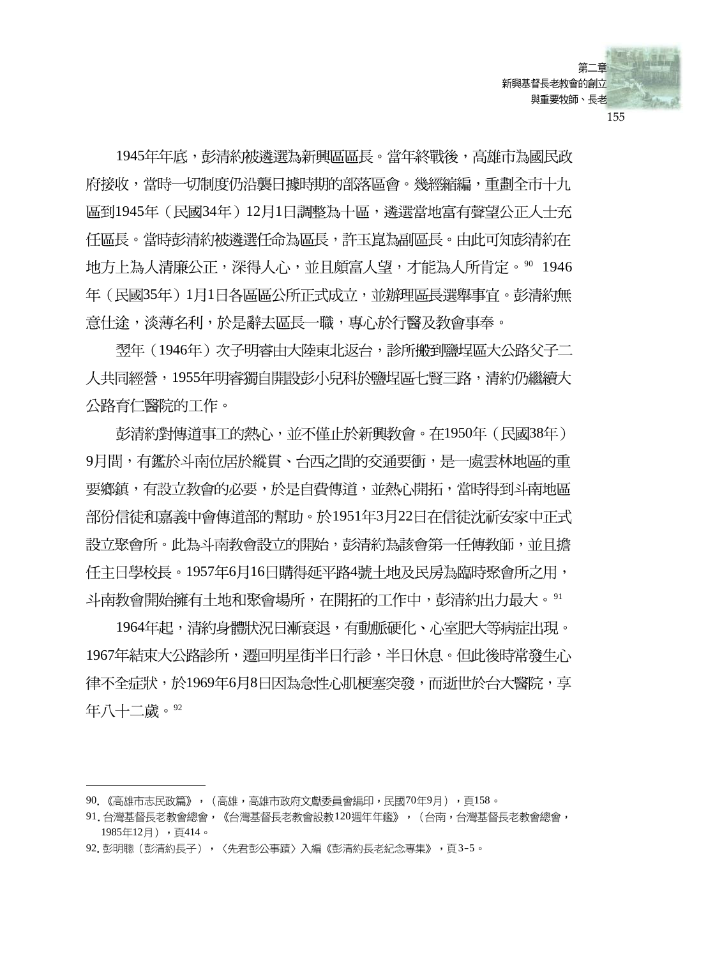

1945年年底,彭清約被潾選為新興區區長。當年終戰後,高雄市為國民政 府接收,當時一切制度仍沿襲日據時期的部落區會。幾經縮編,重劃全市十九 區到1945年(民國34年)12月1日調整為十區,遴選當地富有聲望公正人士充 任區長。當時彭清約被潾選任命為區長,許玉崑為副區長。由此可知彭清約在 地方上為人清廉公正,深得人心,並且頗富人望,才能為人所肯定。90 1946 年 (民國35年) 1月1日各區區公所正式成立,並辦理區長選舉事官。彭清約無 意仕途,淡薄名利,於是辭去區長一職,專心於行醫及教會事奉。

翌年(1946年)次子明睿由大陸東北返台,診所搬到鹽埕區大公路父子二 人共同經營,1955年明睿獨自開設彭小兒科於鹽埕區七賢三路,清約仍繼續大 公路育仁醫院的工作。

彭清約對傳道事工的熱心,並不僅止於新興教會。在1950年(民國38年) 9月間,有鑑於斗南位居於縱貫、台西之間的交通要衝,是一處雲林地區的重 要鄉鎮,有設立教會的必要,於是自費傳道,並熱心開拓,當時得到斗南地區 部份信徒和嘉義中會傳道部的幫助。於1951年3月22日在信徒沈祈安家中正式 設立聚會所。此為斗南教會設立的開始,彭清約為該會第一仟傳教師,並且擔 任主日學校長。1957年6月16日購得延平路4號土地及民房為臨時聚會所之用, 斗南教會開始擁有土地和聚會場所,在開拓的工作中,彭清約出力最大。91

1964年起,清約身體狀況日漸衰退,有動脈硬化、心室肥大等病症出現。 1967年結束大公路診所,遷回明星街半日行診,半日休息。但此後時常發生心 律不全症狀,於1969年6月8日因為急性心肌梗塞突發,而逝世於台大醫院,享 年八十二歳。92

<sup>90. 《</sup>高雄市志民政篇》, (高雄, 高雄市政府文獻委員會編印, 民國70年9月), 頁158。

<sup>91.</sup> 台灣基督長老教會總會, 《台灣基督長老教會設教120週年年鑑》, (台南, 台灣基督長老教會總會, 1985年12月),頁414。

<sup>92.</sup> 彭明聰(彭清約長子),〈先君彭公事蹟〉入編《彭清約長老紀念專集》,頁3-5。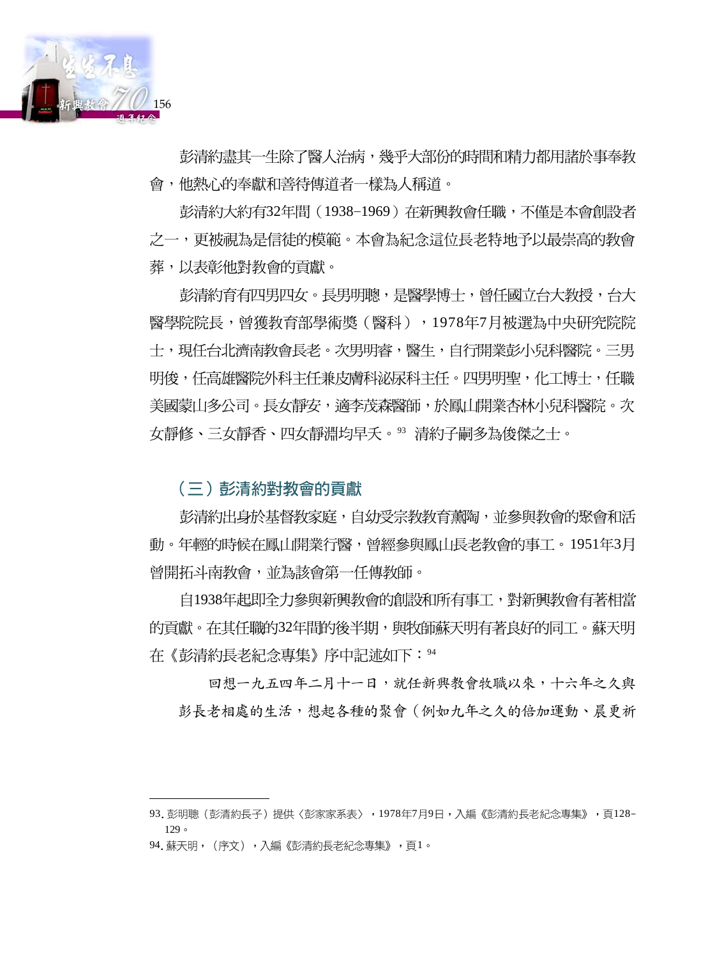

彭清約盡其一生除了醫人治病,幾乎大部份的時間和精力都用諸於事奉教 會,他熱心的奉獻和善待傳道者一樣為人稱道。

彭清約大約有32年間(1938-1969)在新興教會任職,不僅是本會創設者 之一,更被視為是信徒的模範。本會為紀念這位長老特地予以最崇高的教會 葬,以表彰他對教會的貢獻。

彭清約育有四男四女。長男明聰,是醫學博士,曾任國立台大教授,台大 醫學院院長,曾獲教育部學術獎(醫科),1978年7月被選為中央研究院院 十,現仟台北濟南教會長老。次男明睿,醫牛,自行開業彭小兒科醫院。三男 明俊,任高雄醫院外科主任兼皮膚科泌尿科主任。四男明聖,化工博士,任職 美國蒙山多公司。長女靜安,適李茂森醫師,於鳳山開業杏林小兒科醫院。次 女靜修、三女靜香、四女靜淵均早夭。93 清約子嗣多為俊傑之士。

(三) 彭清約對教會的貢獻

彭清約出身於基督教家庭,自幼受宗教教育薰陶,並參與教會的聚會和活 動。年輕的時候在鳳山開業行醫,曾經參與鳳山長老教會的事工。1951年3月 曾開拓斗南教會,並為該會第一任傳教師。

自1938年起即全力參與新興教會的創設和所有事工,對新興教會有著相當 的貢獻。在其任職的32年間的後半期,與牧師蘇天明有著良好的同工。蘇天明 在《彭清約長老紀念專集》序中記述如下:94

回想一九五四年二月十一日,就任新興教會牧職以來,十六年之久與 彭長老相處的生活,想起各種的聚會 (例如九年之久的倍加運動、晨更祈

<sup>93.</sup> 彭明聰(彭清約長子)提供〈彭家家系表〉,1978年7月9日,入編《彭清約長老紀念專集》,頁128- $129c$ 

<sup>94.</sup> 蘇天明,(序文),入編《彭清約長老紀念專集》,頁1。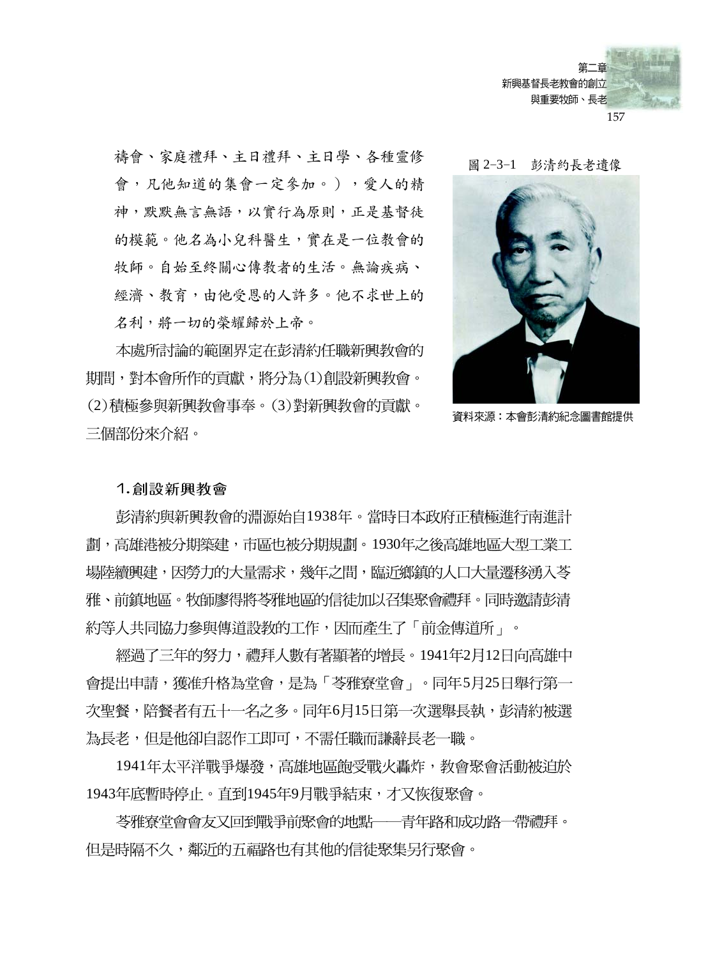

禱會、家庭禮拜、主日禮拜、主日學、各種靈修 會,凡他知道的集會一定參加。),愛人的精 神,默默無言無語,以實行為原則,正是基督徒 的模範。他名為小兒科醫生, 實在是一位教會的 牧師。自始至終關心傳教者的生活。無論疾病、 經濟、教育,由他受恩的人許多。他不求世上的 名利,將一切的榮耀歸於上帝。

本處所討論的範圍界定在彭清約仟職新興教會的 期間,對本會所作的貢獻,將分為(1)創設新興教會。 (2)積極參與新興教會事奉。(3)對新興教會的貢獻。 三個部份來介紹。

圖 2-3-1 彭清約長老遺像



資料來源:本會彭清約紀念圖書館提供

### 1. 創設新興教會

彭清約與新興教會的淵源始自1938年。當時日本政府正積極進行南進計 劃,高雄港被分期築建,市區也被分期規劃。1930年之後高雄地區大型工業工 場陸續興建,因勞力的大量需求,幾年之間,臨近鄉鎮的人口大量遷移湧入苓 雅、前鎮地區。牧師廖得將苓雅地區的信徒加以召集聚會禮拜。同時邀請彭清 約等人共同協力參與傳道設教的工作,因而產生了「前金傳道所」。

經過了三年的努力,禮拜人數有著顯著的增長。1941年2月12日向高雄中 會提出申請,獲准升格為堂會,是為「苓雅寮堂會」。同年5月25日舉行第一 次聖餐,陪餐者有五十一名之多。同年6月15日第一次選舉長執,彭清約被選 為長老,但是他卻自認作工即可,不需任職而謙辭長老一職。

1941年太平洋戰爭爆發,高雄地區飽受戰火轟炸,教會聚會活動被迫於 1943年底暫時停止。直到1945年9月戰爭結束,才又恢復聚會。

苓雅寮堂會會友又回到戰爭前聚會的地點——青年路和成功路—帶禮拜。 但是時隔不久,鄰沂的五福路也有其他的信徒聚集另行聚會。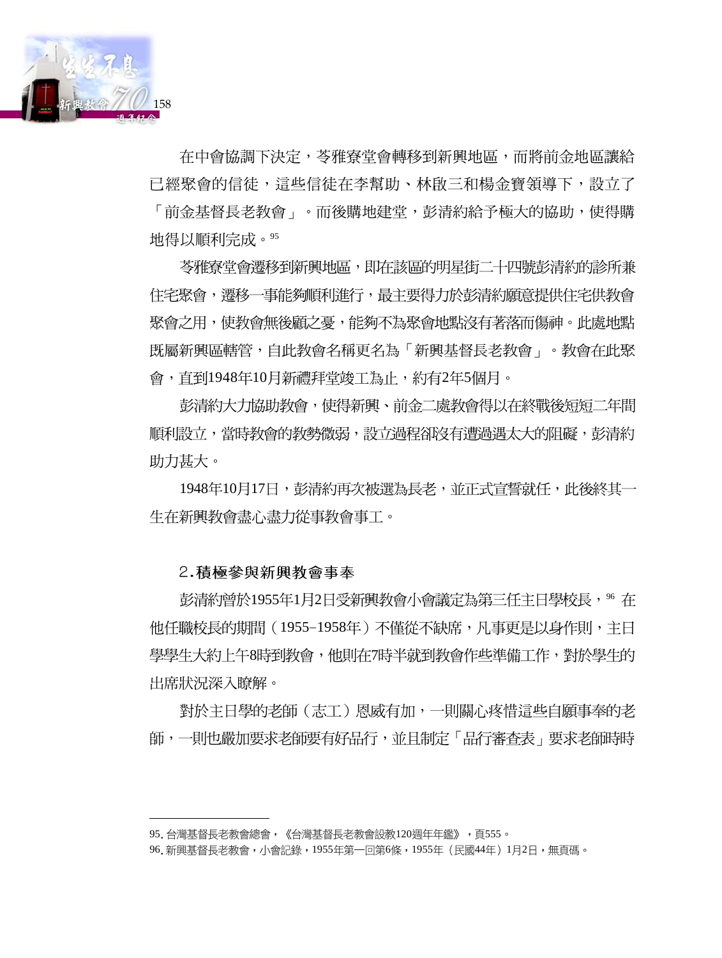

在中會協調下決定,苓雅寮堂會轉移到新興地區,而將前金地區讓給 已經聚會的信徒,這些信徒在李幫助、林啟三和楊金寶領導下,設立了 「前金基督長老教會 」。而後購地建堂,彭清約給予極大的協助,使得購 地得以順利完成。95

苓雅寮堂會遷移到新興地區,即在該區的明星街二十四號彭清約的診所兼 住宅聚會,遷移一事能夠順利進行,最主要得力於彭清約願意提供住宅供教會 聚會之用,使教會無後顧之憂,能夠不為聚會地點沒有著落而傷神。此處地點 既屬新興區轄管,自此教會名稱更名為「新興基督長老教會」。教會在此聚 會,直到1948年10月新禮拜堂竣工為止,約有2年5個月。

彭清約大力協助教會,使得新興、前金二處教會得以在終戰後短短二年間 順利設立,當時教會的教勢微弱,設立過程卻沒有遭過遇太大的阻礙,彭清約 助力甚大。

1948年10月17日,彭清約再次被選為長老,並正式宣誓就任,此後終其一 生在新興教會盡心盡力從事教會事工。

### 2.積極參與新興教會事奉

彭清約曾於1955年1月2日受新興教會小會議定為第三任主日學校長,% 在 他任職校長的期間(1955-1958年)不僅從不缺席,凡事更是以身作則,主日 學學生大約上午8時到教會,他則在7時半就到教會作些準備工作,對於學生的 出席狀況深入瞭解。

對於主日學的老師(志工)恩威有加,一則關心疼惜這些自願事奉的老 師,一則也嚴加要求老師要有好品行,並且制定「品行審査表」要求老師時時

<sup>95.</sup>台灣基督長老教會總會,《台灣基督長老教會設教120週年年鑑》,頁555。

<sup>96.</sup> 新興基督長老教會,小會記錄,1955年第一回第6條,1955年(民國44年)1月2日,無頁碼。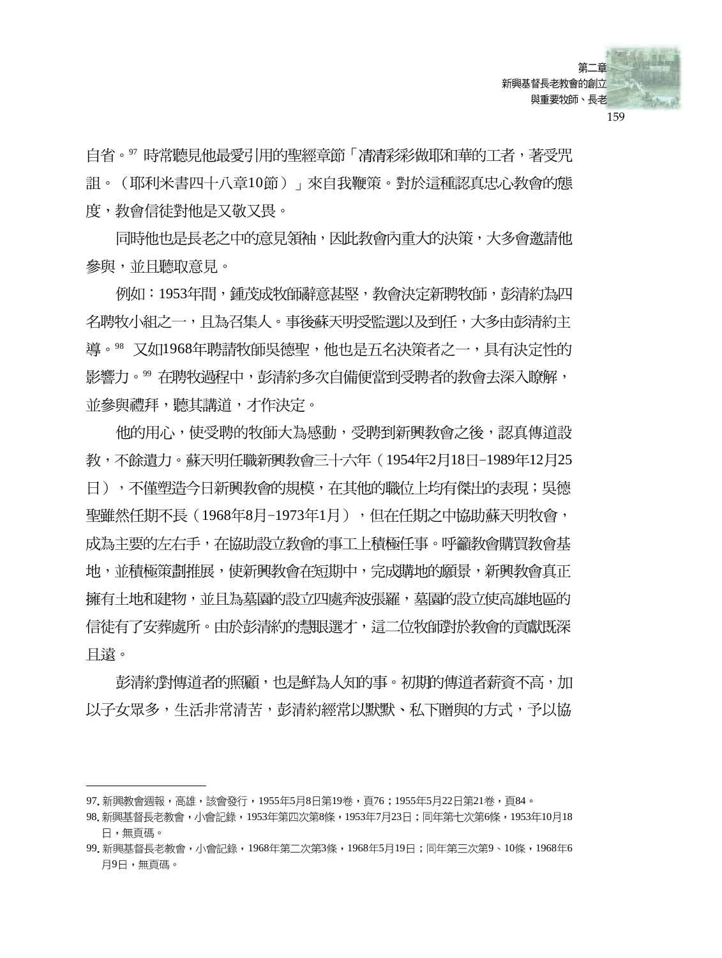

自省。"時常聽見他最愛引用的聖經章節「凊凊彩彩做耶和華的工者,著受咒 詛。(耶利米書四十八章10節)」來自我鞭策。對於這種認真忠心教會的態 度,教會信徒對他是又敬又畏。

同時他也是長老之中的意見領袖,因此教會內重大的決策,大多會激請他 參與,並且聽取意見。

例如:1953年間,鍾茂成牧師辭意甚堅,教會決定新聘牧師,彭清約為四 名聘牧小組之一,日為召集人。事後蘇天明受監選以及到仟,大多由彭清約主 導。88 又如1968年聘請牧師吳德聖,他也是五名決策者之一,具有決定性的 影響力。"在聘牧過程中,彭清約多次自備便當到受聘者的教會去深入瞭解, 並參與禮拜,聽其講道,才作決定。

他的用心,使受聘的牧師大為感動,受聘到新興教會之後,認直傳道設 教,不餘遺力。蘇天明任職新興教會三十六年(1954年2月18日-1989年12月25 日),不僅塑浩今日新興教會的規模,在其他的職位上均有傑出的表現;吳德 聖雖然仟期不長(1968年8月-1973年1月),但在仟期之中協助蘇天明牧會, 成為主要的左右手,在協助設立教會的事工上積極任事。呼籲教會購買教會基 地,並積極策劃推展,使新興教會在短期中,完成購地的願景,新興教會真正 擁有土地和建物,並且為墓園的設立四處奔波張羅,墓園的設立使高雄地區的 信徒有了安葬處所。由於彭清約的慧眼選才,這二位牧師對於教會的貢獻既深 目遠。

彭清約對傳道者的照顧,也是鮮為人知的事。初期的傳道者薪資不高,加 以子女眾多,生活非常清苦,彭清約經常以默默、私下贈與的方式,予以協

<sup>97.</sup> 新興教會週報,高雄,該會發行,1955年5月8日第19卷,頁76;1955年5月22日第21卷,頁84。

<sup>98.</sup> 新興基督長老教會,小會記錄,1953年第四次第8條,1953年7月23日;同年第七次第6條,1953年10月18 日,無頁碼。

<sup>99.</sup> 新興基督長老教會,小會記錄,1968年第二次第3條,1968年5月19日;同年第三次第9、10條,1968年6 月9日,無頁碼。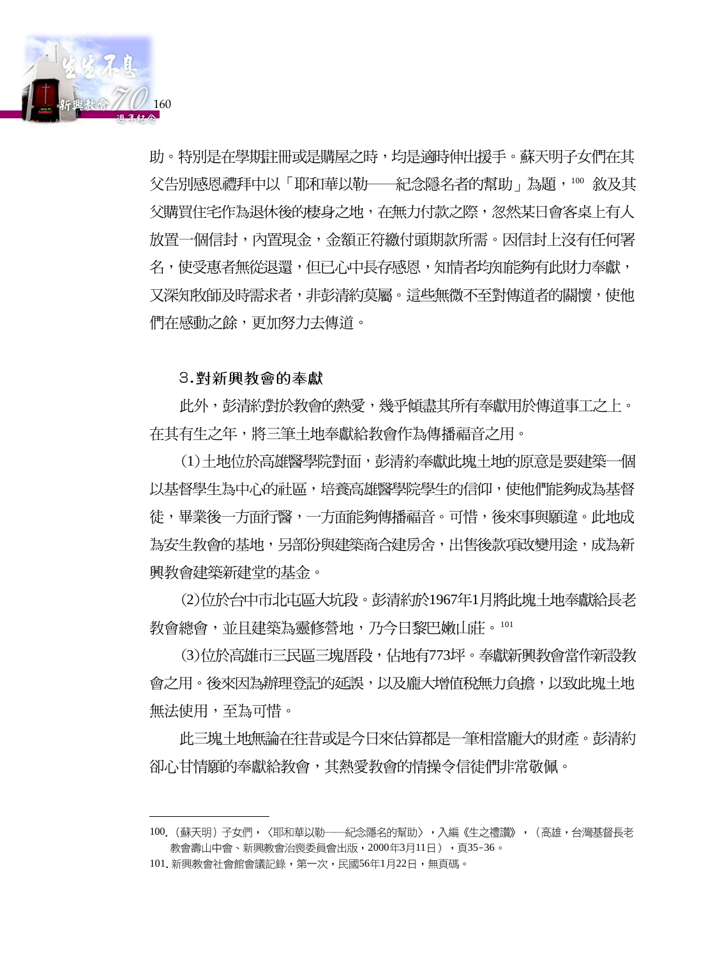

助。特別是在學期註冊或是購屋之時,均是適時伸出援手。蘇天明子女們在其 父告別感恩禮拜中以「耶和華以勒——紀念隱名者的幫助」為題,100 敘及其 父購買住宅作為退休後的棲身之地,在無力付款之際,忽然某日會客桌上有人 放置一個信封,內置現金,金額正符繳付頭期款所需。因信封上沒有任何署 名,使受惠者無從退還,但已心中長存感恩,知情者均知能夠有此財力奉獻, 又深知牧師及時需求者,非彭清約莫屬。這些無微不至對傳道者的關懷,使他 們在感動之餘,更加努力去傳道。

## 3.對新興教會的奉獻

此外,彭清約對於教會的熱愛,幾乎傾盡其所有奉獻用於傳道事工之上。 在其有生之年,將三筆土地奉獻給教會作為傳播福音之用。

(1)十地位於高雄醫學院對面,彭清約奉獻此塊十地的原意是要建築一個 以基督學生為中心的社區,培養高雄醫學院學生的信仰,使他們能夠成為基督 徒,畢業後一方面行醫,一方面能夠傳播福音。可惜,後來事與願違。此地成 為安生教會的基地,另部份與建築商合建房舍,出售後款項改變用途,成為新 興教會建築新建堂的基金。

(2)位於台中市北屯區大坑段。彭清約於1967年1月將此塊土地奉獻給長老 教會總會,並且建築為靈修營地,乃今日黎巴嫩山莊。101

(3)位於高雄市三民區三塊厝段,佔地有773坪。奉獻新興教會當作新設教 會之用。後來因為辦理登記的延誤,以及龐大增值稅無力負擔,以致此塊土地 無法使用,至為可惜。

此三塊土地無論在往昔或是今日來估算都是一筆相當龐大的財產。彭清約 卻心甘情願的奉獻給教會,其熱愛教會的情操令信徒們非常敬佩。

<sup>100. (</sup>蘇天明) 子女們,〈耶和華以勒――紀念隱名的幫助〉,入編《生之禮讚》, (高雄,台灣基督長老 教會壽山中會、新興教會治喪委員會出版,2000年3月11日),頁35-36。

<sup>101.</sup> 新興教會社會館會議記錄,第一次,民國56年1月22日,無頁碼。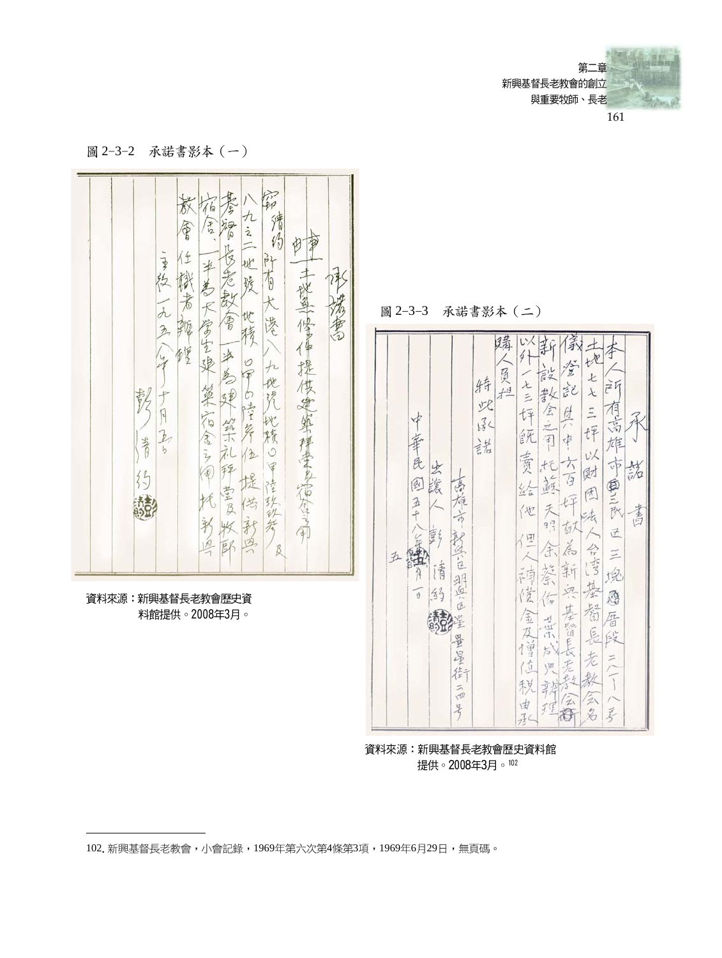第二章 新興基督長老教會的創立 與重要牧師、長老 161

偸

含义

士

運

Ł

 $\lambda$ 

 $\overline{\phantom{a}}$ 

 $t\bar{f}$ 

υX

团

法

合作

基

箱

 $\frac{1}{\sqrt{2}}$ 段

老  $\geq$ 

毅

全名  $\sqrt{2}$ 

 $\not\preceq$ 

 $\tilde{A}$ 

 $\vec{r}$ 

有高

雄

印 财  $\overline{b}$ 

画三次

区

 $\leq$ 

堍

恩

暦

旱

装

書

圖 2-3-2 承諾書影本 (一)

留 苏  $6h$ 怎 カミニ 猜 RBO  $\sqrt{3}$ 福  $\sqrt[4]{2}$ \$  $\frac{4}{5}$  $W$ 子经 半老  $rac{1}{2}$ 機者鞭  $\frac{1}{3}$  $\overline{\Theta}$ 地是修理提供建築模要多省会 段 法考 大学生染 第宿舍之间 一九五 圖 2-3-3 承諾書影本 (二) 在雪 忧 凌 榜 躇 保新 r, 便 少 4  $\angle$  $\circ$  $\frac{1}{2}$  $\overline{\phantom{a}}$ 员坦 為現然不礼  $\sqrt{p}$ ā 化 特  $x =$ 記 教 资 白書舞  $\overline{1}$ 火 全三三 总 怦  $\begin{bmatrix} 1 \\ 1 \end{bmatrix}$ 化積の \* 尿  $\overline{L}$ 纸  $\dot{\phi}$ **BASE** 法  $b$ 位 责 良 田  $72$ 出議  $35$ 回 益 经  $\frac{1}{2}$ 堂及 空 讃 钟  $\frac{3}{4}$ 版 伐 化 天 一  $\phi$  $9^{17}_{11}$ F 矢 刮 ł 秘密运 (日 四 é  $\overline{B}$ 缶  $\xi$ 海  $\mathcal{P}$ 请 萘 新 诗 一组点区 京  $\sqrt{2}$  $143$ 俊 传 資料來源:新興基督長老教會歷史資 基督長 金及曾 料館提供。2008年3月。 古山 말 方 星 位 待 秋 云 曲  $\frac{9}{2}$ 商 子 資料來源:新興基督長老教會歷史資料館

提供。2008年3月。102

102. 新興基督長老教會,小會記錄,1969年第六次第4條第3項,1969年6月29日,無頁碼。